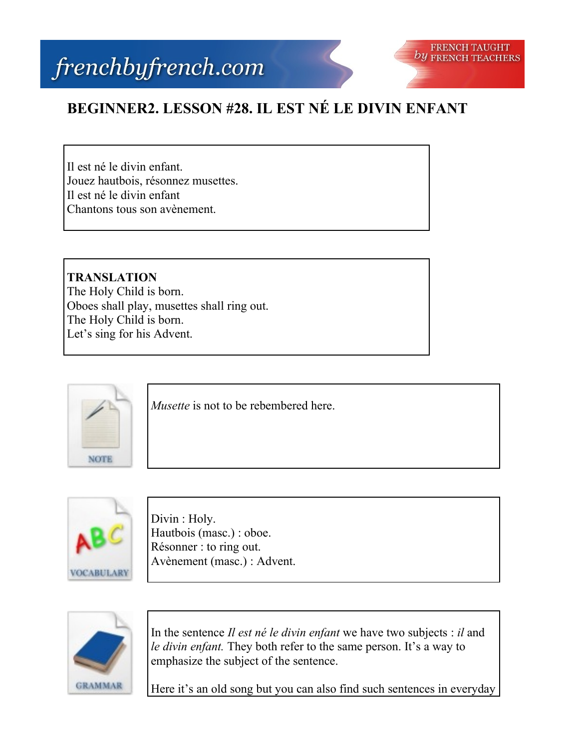## frenchbyfrench.com



## **BEGINNER2. LESSON #28. IL EST NÉ LE DIVIN ENFANT**

Il est né le divin enfant. Jouez hautbois, résonnez musettes. Il est né le divin enfant Chantons tous son avènement.

**TRANSLATION** The Holy Child is born. Oboes shall play, musettes shall ring out. The Holy Child is born. Let's sing for his Advent.



*Musette* is not to be rebembered here.



Divin : Holy. Hautbois (masc.) : oboe. Résonner : to ring out. Avènement (masc.) : Advent.



In the sentence *Il est né le divin enfant* we have two subjects : *il* and *le divin enfant.* They both refer to the same person. It's a way to emphasize the subject of the sentence.

Here it's an old song but you can also find such sentences in everyday